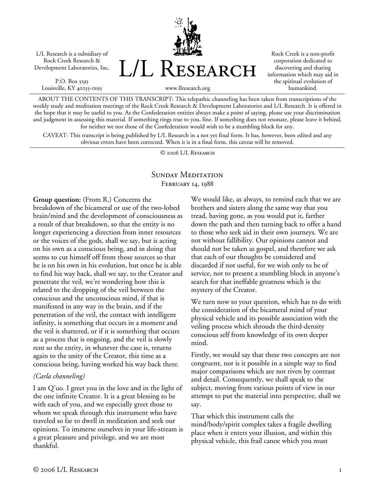L/L Research is a subsidiary of Rock Creek Research & Development Laboratories, Inc.

P.O. Box 5195 Louisville, KY 40255-0195



Rock Creek is a non-profit corporation dedicated to discovering and sharing information which may aid in the spiritual evolution of humankind.

ABOUT THE CONTENTS OF THIS TRANSCRIPT: This telepathic channeling has been taken from transcriptions of the weekly study and meditation meetings of the Rock Creek Research & Development Laboratories and L/L Research. It is offered in the hope that it may be useful to you. As the Confederation entities always make a point of saying, please use your discrimination and judgment in assessing this material. If something rings true to you, fine. If something does not resonate, please leave it behind, for neither we nor those of the Confederation would wish to be a stumbling block for any.

CAVEAT: This transcript is being published by L/L Research in a not yet final form. It has, however, been edited and any obvious errors have been corrected. When it is in a final form, this caveat will be removed.

© 2006 L/L Research

## SUNDAY MEDITATION FEBRUARY 14, 1988

**Group question:** (From R.) Concerns the breakdown of the bicameral or use of the two-lobed brain/mind and the development of consciousness as a result of that breakdown, so that the entity is no longer experiencing a direction from inner resources or the voices of the gods, shall we say, but is acting on his own as a conscious being, and in doing that seems to cut himself off from those sources so that he is on his own in his evolution, but once he is able to find his way back, shall we say, to the Creator and penetrate the veil, we're wondering how this is related to the dropping of the veil between the conscious and the unconscious mind, if that is manifested in any way in the brain, and if the penetration of the veil, the contact with intelligent infinity, is something that occurs in a moment and the veil is shattered, or if it is something that occurs as a process that is ongoing, and the veil is slowly rent so the entity, in whatever the case is, returns again to the unity of the Creator, this time as a conscious being, having worked his way back there.

### *(Carla channeling)*

I am Q'uo. I greet you in the love and in the light of the one infinite Creator. It is a great blessing to be with each of you, and we especially greet those to whom we speak through this instrument who have traveled so far to dwell in meditation and seek our opinions. To immerse ourselves in your life-stream is a great pleasure and privilege, and we are most thankful.

We would like, as always, to remind each that we are brothers and sisters along the same way that you tread, having gone, as you would put it, farther down the path and then turning back to offer a hand to those who seek aid in their own journeys. We are not without fallibility. Our opinions cannot and should not be taken as gospel, and therefore we ask that each of our thoughts be considered and discarded if not useful, for we wish only to be of service, not to present a stumbling block in anyone's search for that ineffable greatness which is the mystery of the Creator.

We turn now to your question, which has to do with the consideration of the bicameral mind of your physical vehicle and its possible association with the veiling process which shrouds the third-density conscious self from knowledge of its own deeper mind.

Firstly, we would say that these two concepts are not congruent, nor is it possible in a simple way to find major comparisons which are not riven by contrast and detail. Consequently, we shall speak to the subject, moving from various points of view in our attempt to put the material into perspective, shall we say.

That which this instrument calls the mind/body/spirit complex takes a fragile dwelling place when it enters your illusion, and within this physical vehicle, this frail canoe which you must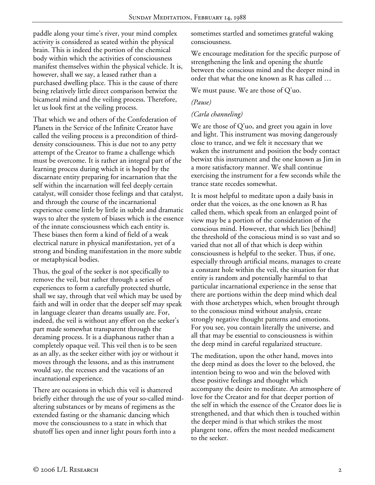paddle along your time's river, your mind complex activity is considered as seated within the physical brain. This is indeed the portion of the chemical body within which the activities of consciousness manifest themselves within the physical vehicle. It is, however, shall we say, a leased rather than a purchased dwelling place. This is the cause of there being relatively little direct comparison betwixt the bicameral mind and the veiling process. Therefore, let us look first at the veiling process.

That which we and others of the Confederation of Planets in the Service of the Infinite Creator have called the veiling process is a precondition of thirddensity consciousness. This is due not to any petty attempt of the Creator to frame a challenge which must be overcome. It is rather an integral part of the learning process during which it is hoped by the discarnate entity preparing for incarnation that the self within the incarnation will feel deeply certain catalyst, will consider those feelings and that catalyst, and through the course of the incarnational experience come little by little in subtle and dramatic ways to alter the system of biases which is the essence of the innate consciousness which each entity is. These biases then form a kind of field of a weak electrical nature in physical manifestation, yet of a strong and binding manifestation in the more subtle or metaphysical bodies.

Thus, the goal of the seeker is not specifically to remove the veil, but rather through a series of experiences to form a carefully protected shuttle, shall we say, through that veil which may be used by faith and will in order that the deeper self may speak in language clearer than dreams usually are. For, indeed, the veil is without any effort on the seeker's part made somewhat transparent through the dreaming process. It is a diaphanous rather than a completely opaque veil. This veil then is to be seen as an ally, as the seeker either with joy or without it moves through the lessons, and as this instrument would say, the recesses and the vacations of an incarnational experience.

There are occasions in which this veil is shattered briefly either through the use of your so-called mindaltering substances or by means of regimens as the extended fasting or the shamanic dancing which move the consciousness to a state in which that shutoff lies open and inner light pours forth into a

sometimes startled and sometimes grateful waking consciousness.

We encourage meditation for the specific purpose of strengthening the link and opening the shuttle between the conscious mind and the deeper mind in order that what the one known as R has called …

We must pause. We are those of Q'uo.

### *(Pause)*

## *(Carla channeling)*

We are those of Q'uo, and greet you again in love and light. This instrument was moving dangerously close to trance, and we felt it necessary that we waken the instrument and position the body contact betwixt this instrument and the one known as Jim in a more satisfactory manner. We shall continue exercising the instrument for a few seconds while the trance state recedes somewhat.

It is most helpful to meditate upon a daily basis in order that the voices, as the one known as R has called them, which speak from an enlarged point of view may be a portion of the consideration of the conscious mind. However, that which lies [behind] the threshold of the conscious mind is so vast and so varied that not all of that which is deep within consciousness is helpful to the seeker. Thus, if one, especially through artificial means, manages to create a constant hole within the veil, the situation for that entity is random and potentially harmful to that particular incarnational experience in the sense that there are portions within the deep mind which deal with those archetypes which, when brought through to the conscious mind without analysis, create strongly negative thought patterns and emotions. For you see, you contain literally the universe, and all that may be essential to consciousness is within the deep mind in careful regularized structure.

The meditation, upon the other hand, moves into the deep mind as does the lover to the beloved, the intention being to woo and win the beloved with these positive feelings and thought which accompany the desire to meditate. An atmosphere of love for the Creator and for that deeper portion of the self in which the essence of the Creator does lie is strengthened, and that which then is touched within the deeper mind is that which strikes the most plangent tone, offers the most needed medicament to the seeker.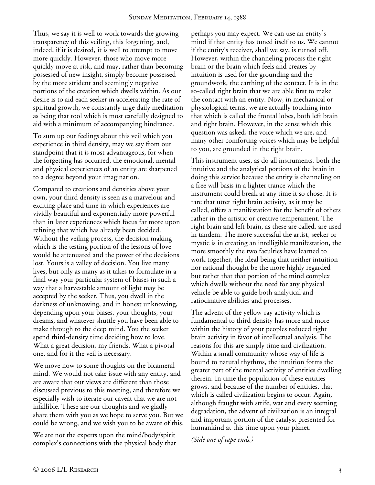Thus, we say it is well to work towards the growing transparency of this veiling, this forgetting, and, indeed, if it is desired, it is well to attempt to move more quickly. However, those who move more quickly move at risk, and may, rather than becoming possessed of new insight, simply become possessed by the more strident and seemingly negative portions of the creation which dwells within. As our desire is to aid each seeker in accelerating the rate of spiritual growth, we constantly urge daily meditation as being that tool which is most carefully designed to aid with a minimum of accompanying hindrance.

To sum up our feelings about this veil which you experience in third density, may we say from our standpoint that it is most advantageous, for when the forgetting has occurred, the emotional, mental and physical experiences of an entity are sharpened to a degree beyond your imagination.

Compared to creations and densities above your own, your third density is seen as a marvelous and exciting place and time in which experiences are vividly beautiful and exponentially more powerful than in later experiences which focus far more upon refining that which has already been decided. Without the veiling process, the decision making which is the testing portion of the lessons of love would be attenuated and the power of the decisions lost. Yours is a valley of decision. You live many lives, but only as many as it takes to formulate in a final way your particular system of biases in such a way that a harvestable amount of light may be accepted by the seeker. Thus, you dwell in the darkness of unknowing, and in honest unknowing, depending upon your biases, your thoughts, your dreams, and whatever shuttle you have been able to make through to the deep mind. You the seeker spend third-density time deciding how to love. What a great decision, my friends. What a pivotal one, and for it the veil is necessary.

We move now to some thoughts on the bicameral mind. We would not take issue with any entity, and are aware that our views are different than those discussed previous to this meeting, and therefore we especially wish to iterate our caveat that we are not infallible. These are our thoughts and we gladly share them with you as we hope to serve you. But we could be wrong, and we wish you to be aware of this.

We are not the experts upon the mind/body/spirit complex's connections with the physical body that perhaps you may expect. We can use an entity's mind if that entity has tuned itself to us. We cannot if the entity's receiver, shall we say, is turned off. However, within the channeling process the right brain or the brain which feels and creates by intuition is used for the grounding and the groundwork, the earthing of the contact. It is in the so-called right brain that we are able first to make the contact with an entity. Now, in mechanical or physiological terms, we are actually touching into that which is called the frontal lobes, both left brain and right brain. However, in the sense which this question was asked, the voice which we are, and many other comforting voices which may be helpful to you, are grounded in the right brain.

This instrument uses, as do all instruments, both the intuitive and the analytical portions of the brain in doing this service because the entity is channeling on a free will basis in a lighter trance which the instrument could break at any time it so chose. It is rare that utter right brain activity, as it may be called, offers a manifestation for the benefit of others rather in the artistic or creative temperament. The right brain and left brain, as these are called, are used in tandem. The more successful the artist, seeker or mystic is in creating an intelligible manifestation, the more smoothly the two faculties have learned to work together, the ideal being that neither intuition nor rational thought be the more highly regarded but rather that that portion of the mind complex which dwells without the need for any physical vehicle be able to guide both analytical and ratiocinative abilities and processes.

The advent of the yellow-ray activity which is fundamental to third density has more and more within the history of your peoples reduced right brain activity in favor of intellectual analysis. The reasons for this are simply time and civilization. Within a small community whose way of life is bound to natural rhythms, the intuition forms the greater part of the mental activity of entities dwelling therein. In time the population of these entities grows, and because of the number of entities, that which is called civilization begins to occur. Again, although fraught with strife, war and every seeming degradation, the advent of civilization is an integral and important portion of the catalyst presented for humankind at this time upon your planet.

*(Side one of tape ends.)*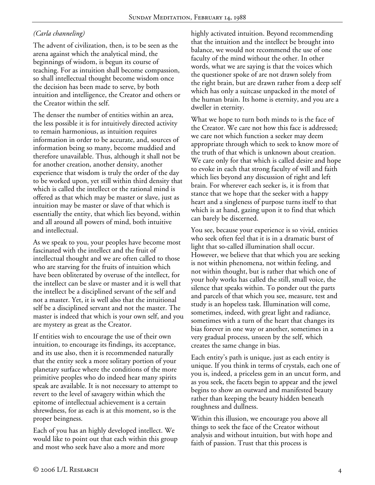# *(Carla channeling)*

The advent of civilization, then, is to be seen as the arena against which the analytical mind, the beginnings of wisdom, is begun its course of teaching. For as intuition shall become compassion, so shall intellectual thought become wisdom once the decision has been made to serve, by both intuition and intelligence, the Creator and others or the Creator within the self.

The denser the number of entities within an area, the less possible it is for intuitively directed activity to remain harmonious, as intuition requires information in order to be accurate, and, sources of information being so many, become muddied and therefore unavailable. Thus, although it shall not be for another creation, another density, another experience that wisdom is truly the order of the day to be worked upon, yet still within third density that which is called the intellect or the rational mind is offered as that which may be master or slave, just as intuition may be master or slave of that which is essentially the entity, that which lies beyond, within and all around all powers of mind, both intuitive and intellectual.

As we speak to you, your peoples have become most fascinated with the intellect and the fruit of intellectual thought and we are often called to those who are starving for the fruits of intuition which have been obliterated by overuse of the intellect, for the intellect can be slave or master and it is well that the intellect be a disciplined servant of the self and not a master. Yet, it is well also that the intuitional self be a disciplined servant and not the master. The master is indeed that which is your own self, and you are mystery as great as the Creator.

If entities wish to encourage the use of their own intuition, to encourage its findings, its acceptance, and its use also, then it is recommended naturally that the entity seek a more solitary portion of your planetary surface where the conditions of the more primitive peoples who do indeed hear many spirits speak are available. It is not necessary to attempt to revert to the level of savagery within which the epitome of intellectual achievement is a certain shrewdness, for as each is at this moment, so is the proper beingness.

Each of you has an highly developed intellect. We would like to point out that each within this group and most who seek have also a more and more

highly activated intuition. Beyond recommending that the intuition and the intellect be brought into balance, we would not recommend the use of one faculty of the mind without the other. In other words, what we are saying is that the voices which the questioner spoke of are not drawn solely from the right brain, but are drawn rather from a deep self which has only a suitcase unpacked in the motel of the human brain. Its home is eternity, and you are a dweller in eternity.

What we hope to turn both minds to is the face of the Creator. We care not how this face is addressed; we care not which function a seeker may deem appropriate through which to seek to know more of the truth of that which is unknown about creation. We care only for that which is called desire and hope to evoke in each that strong faculty of will and faith which lies beyond any discussion of right and left brain. For wherever each seeker is, it is from that stance that we hope that the seeker with a happy heart and a singleness of purpose turns itself to that which is at hand, gazing upon it to find that which can barely be discerned.

You see, because your experience is so vivid, entities who seek often feel that it is in a dramatic burst of light that so-called illumination shall occur. However, we believe that that which you are seeking is not within phenomena, not within feeling, and not within thought, but is rather that which one of your holy works has called the still, small voice, the silence that speaks within. To ponder out the parts and parcels of that which you see, measure, test and study is an hopeless task. Illumination will come, sometimes, indeed, with great light and radiance, sometimes with a turn of the heart that changes its bias forever in one way or another, sometimes in a very gradual process, unseen by the self, which creates the same change in bias.

Each entity's path is unique, just as each entity is unique. If you think in terms of crystals, each one of you is, indeed, a priceless gem in an uncut form, and as you seek, the facets begin to appear and the jewel begins to show an outward and manifested beauty rather than keeping the beauty hidden beneath roughness and dullness.

Within this illusion, we encourage you above all things to seek the face of the Creator without analysis and without intuition, but with hope and faith of passion. Trust that this process is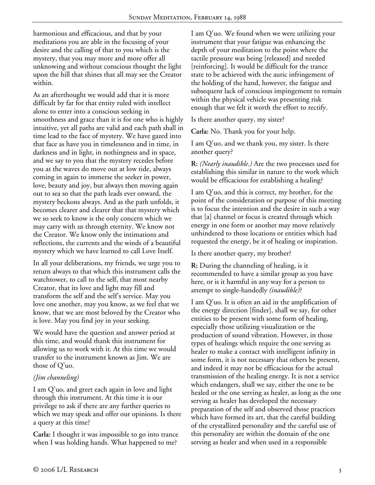harmonious and efficacious, and that by your meditations you are able in the focusing of your desire and the calling of that to you which is the mystery, that you may more and more offer all unknowing and without conscious thought the light upon the hill that shines that all may see the Creator within.

As an afterthought we would add that it is more difficult by far for that entity ruled with intellect alone to enter into a conscious seeking in smoothness and grace than it is for one who is highly intuitive, yet all paths are valid and each path shall in time lead to the face of mystery. We have gazed into that face as have you in timelessness and in time, in darkness and in light, in nothingness and in space, and we say to you that the mystery recedes before you as the waves do move out at low tide, always coming in again to immerse the seeker in power, love, beauty and joy, but always then moving again out to sea so that the path leads ever onward, the mystery beckons always. And as the path unfolds, it becomes clearer and clearer that that mystery which we so seek to know is the only concern which we may carry with us through eternity. We know not the Creator. We know only the intimations and reflections, the currents and the winds of a beautiful mystery which we have learned to call Love Itself.

In all your deliberations, my friends, we urge you to return always to that which this instrument calls the watchtower, to call to the self, that most nearby Creator, that its love and light may fill and transform the self and the self's service. May you love one another, may you know, as we feel that we know, that we are most beloved by the Creator who is love. May you find joy in your seeking.

We would have the question and answer period at this time, and would thank this instrument for allowing us to work with it. At this time we would transfer to the instrument known as Jim. We are those of Q'uo.

### *(Jim channeling)*

I am Q'uo, and greet each again in love and light through this instrument. At this time it is our privilege to ask if there are any further queries to which we may speak and offer our opinions. Is there a query at this time?

**Carla:** I thought it was impossible to go into trance when I was holding hands. What happened to me?

I am Q'uo. We found when we were utilizing your instrument that your fatigue was enhancing the depth of your meditation to the point where the tactile pressure was being [released] and needed [reinforcing]. It would be difficult for the trance state to be achieved with the auric infringement of the holding of the hand, however, the fatigue and subsequent lack of conscious impingement to remain within the physical vehicle was presenting risk enough that we felt it worth the effort to rectify.

Is there another query, my sister?

**Carla:** No. Thank you for your help.

I am Q'uo, and we thank you, my sister. Is there another query?

**R:** *(Nearly inaudible.)* Are the two processes used for establishing this similar in nature to the work which would be efficacious for establishing a healing?

I am Q'uo, and this is correct, my brother, for the point of the consideration or purpose of this meeting is to focus the intention and the desire in such a way that [a] channel or focus is created through which energy in one form or another may move relatively unhindered to those locations or entities which had requested the energy, be it of healing or inspiration.

Is there another query, my brother?

**R:** During the channeling of healing, is it recommended to have a similar group as you have here, or is it harmful in any way for a person to attempt to single-handedly *(inaudible)*?

I am Q'uo. It is often an aid in the amplification of the energy direction [finder], shall we say, for other entities to be present with some form of healing, especially those utilizing visualization or the production of sound vibration. However, in those types of healings which require the one serving as healer to make a contact with intelligent infinity in some form, it is not necessary that others be present, and indeed it may not be efficacious for the actual transmission of the healing energy. It is not a service which endangers, shall we say, either the one to be healed or the one serving as healer, as long as the one serving as healer has developed the necessary preparation of the self and observed those practices which have formed its art, that the careful building of the crystallized personality and the careful use of this personality are within the domain of the one serving as healer and when used in a responsible